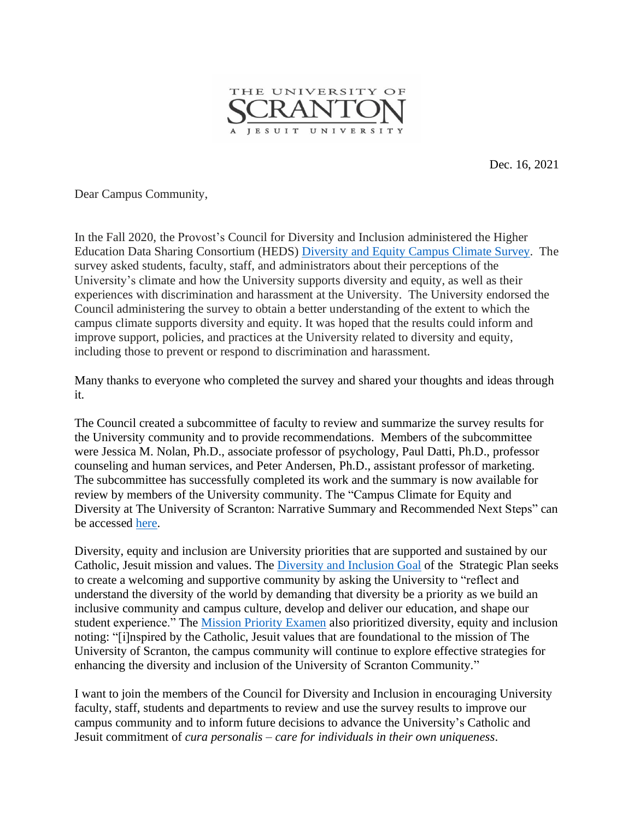

Dec. 16, 2021

Dear Campus Community,

In the Fall 2020, the Provost's Council for Diversity and Inclusion administered the Higher Education Data Sharing Consortium (HEDS) [Diversity](https://nam10.safelinks.protection.outlook.com/?url=https%3A%2F%2Fwww.hedsconsortium.org%2Fheds-diversity-equity-campus-climate-survey%2F&data=04%7C01%7Ckristin.durkin%40scranton.edu%7Ca72ebadace3d44c8ef8108d9c0ccba00%7Ca8edc49a41f14c699768a7f6d7c3b8c3%7C0%7C0%7C637752807836433458%7CUnknown%7CTWFpbGZsb3d8eyJWIjoiMC4wLjAwMDAiLCJQIjoiV2luMzIiLCJBTiI6Ik1haWwiLCJXVCI6Mn0%3D%7C3000&sdata=24ufBhRm21HnY%2BlV7hfpLvf2Ha6fd2Ekk7a2pl4FJzk%3D&reserved=0) and Equity Campus Climate Survey. The survey asked students, faculty, staff, and administrators about their perceptions of the University's climate and how the University supports diversity and equity, as well as their experiences with discrimination and harassment at the University. The University endorsed the Council administering the survey to obtain a better understanding of the extent to which the campus climate supports diversity and equity. It was hoped that the results could inform and improve support, policies, and practices at the University related to diversity and equity, including those to prevent or respond to discrimination and harassment.

Many thanks to everyone who completed the survey and shared your thoughts and ideas through it.

The Council created a subcommittee of faculty to review and summarize the survey results for the University community and to provide recommendations. Members of the subcommittee were Jessica M. Nolan, Ph.D., associate professor of psychology, Paul Datti, Ph.D., professor counseling and human services, and Peter Andersen, Ph.D., assistant professor of marketing. The subcommittee has successfully completed its work and the summary is now available for review by members of the University community. The "Campus Climate for Equity and Diversity at The University of Scranton: Narrative Summary and Recommended Next Steps" can be accessed [here.](https://www.scranton.edu/equity-diversity/council-diversity-inclusion.shtml)

Diversity, equity and inclusion are University priorities that are supported and sustained by our Catholic, Jesuit mission and values. The [Diversity](https://www.scranton.edu/strategic-plan/2020/plan-content-page.shtml#phase4) and Inclusion Goal of the Strategic Plan seeks to create a welcoming and supportive community by asking the University to "reflect and understand the diversity of the world by demanding that diversity be a priority as we build an inclusive community and campus culture, develop and deliver our education, and shape our student experience." The Mission Priority [Examen](https://www.scranton.edu/the-jesuit-center/Mission%20Priority%20Examen%20.shtml) also prioritized diversity, equity and inclusion noting: "[i]nspired by the Catholic, Jesuit values that are foundational to the mission of The University of Scranton, the campus community will continue to explore effective strategies for enhancing the diversity and inclusion of the University of Scranton Community."

I want to join the members of the Council for Diversity and Inclusion in encouraging University faculty, staff, students and departments to review and use the survey results to improve our campus community and to inform future decisions to advance the University's Catholic and Jesuit commitment of *cura personalis – care for individuals in their own uniqueness*.